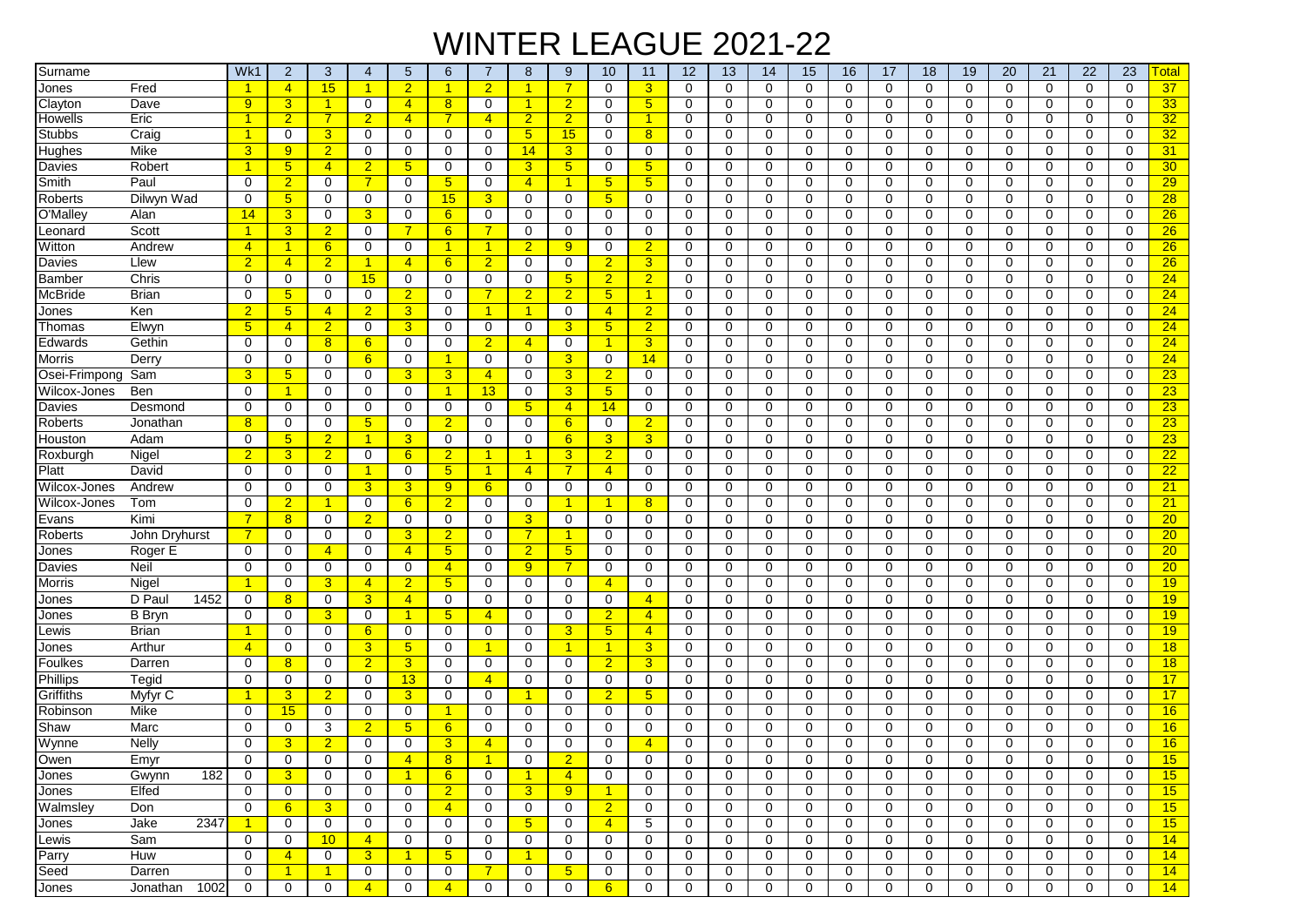## WINTER LEAGUE 2021-22

| Surname       |                  | Wk1            | $\overline{2}$  | 3                    | 4                    | $5\phantom{.0}$      | 6                | $\overline{7}$       | 8                    | 9                    | 10                   | 11             | 12          | 13           | 14          | 15          | 16          | 17          | 18          | 19          | 20          | 21          | 22           | 23          | ୮otal           |
|---------------|------------------|----------------|-----------------|----------------------|----------------------|----------------------|------------------|----------------------|----------------------|----------------------|----------------------|----------------|-------------|--------------|-------------|-------------|-------------|-------------|-------------|-------------|-------------|-------------|--------------|-------------|-----------------|
| Jones         | Fred             |                | $\overline{4}$  | 15                   | $\blacktriangleleft$ | $\overline{2}$       | 1                | $\overline{2}$       | $\overline{1}$       | $\overline{7}$       | $\mathbf 0$          | 3              | $\mathbf 0$ | $\mathbf 0$  | $\mathbf 0$ | $\mathbf 0$ | $\mathbf 0$ | $\mathbf 0$ | $\mathbf 0$ | $\mathbf 0$ | $\mathbf 0$ | $\mathbf 0$ | $\Omega$     | $\Omega$    | 37              |
| Clayton       | Dave             | 9              | $\overline{3}$  | $\blacktriangleleft$ | 0                    | $\overline{4}$       | 8                | 0                    | 1                    | $\overline{2}$       | $\mathbf 0$          | 5 <sup>5</sup> | 0           | 0            | $\mathbf 0$ | $\mathbf 0$ | 0           | 0           | $\mathbf 0$ | 0           | 0           | 0           | 0            | $\Omega$    | 33              |
| Howells       | Eric             |                | $\overline{2}$  |                      | $\overline{2}$       | $\overline{4}$       |                  | $\overline{4}$       | $\overline{2}$       | $\overline{2}$       | $\mathbf 0$          |                | 0           | 0            | 0           | 0           | 0           | 0           | $\mathbf 0$ | 0           | 0           | 0           | 0            | 0           | 32              |
| <b>Stubbs</b> | Craig            | 1              | $\mathbf 0$     | 3                    | 0                    | 0                    | 0                | 0                    | 5 <sup>5</sup>       | 15                   | $\mathbf 0$          | 8              | 0           | 0            | $\mathbf 0$ | $\mathbf 0$ | $\mathbf 0$ | 0           | $\mathbf 0$ | 0           | $\mathbf 0$ | 0           | 0            | $\Omega$    | 32              |
| Hughes        | Mike             | 3              | 9               | $\overline{2}$       | 0                    | 0                    | 0                | 0                    | 14                   | 3                    | 0                    | 0              | 0           | 0            | 0           | 0           | 0           | 0           | 0           | 0           | 0           | 0           | 0            | 0           | 31              |
| Davies        | Robert           |                | $5\overline{)}$ | $\overline{4}$       | $\overline{2}$       | $5\phantom{.0}$      | 0                | 0                    | 3                    | $5\phantom{1}$       | 0                    | 5              | 0           | 0            | $\mathbf 0$ | 0           | 0           | 0           | 0           | 0           | $\mathbf 0$ | 0           | 0            | 0           | 30 <sub>o</sub> |
| Smith         | Paul             | 0              | $\overline{2}$  | 0                    | $\overline{7}$       | $\mathbf 0$          | $5\phantom{.0}$  | $\mathbf 0$          | $\overline{4}$       | $\overline{1}$       | 5 <sub>5</sub>       | 5              | $\mathbf 0$ | 0            | $\mathbf 0$ | 0           | 0           | 0           | 0           | $\mathbf 0$ | $\mathbf 0$ | 0           | 0            | 0           | 29              |
| Roberts       | Dilwyn Wad       | 0              | $5\overline{)}$ | 0                    | 0                    | 0                    | 15               | 3                    | $\mathbf 0$          | 0                    | 5 <sub>5</sub>       | $\Omega$       | 0           | 0            | $\Omega$    | $\mathbf 0$ | $\mathbf 0$ | $\Omega$    | 0           | $\Omega$    | 0           | 0           | $\Omega$     | 0           | 28              |
| O'Malley      | Alan             | 14             | $\mathbf{3}$    | 0                    | 3                    | 0                    | 6                | 0                    | 0                    | 0                    | 0                    | 0              | 0           | 0            | 0           | 0           | 0           | 0           | 0           | 0           | 0           | 0           | 0            | $\Omega$    | 26              |
| Leonard       | Scott            |                | $\overline{3}$  | $\overline{2}$       | 0                    | $\overline{7}$       | 6                | $\overline{7}$       | 0                    | 0                    | $\mathbf 0$          | 0              | 0           | 0            | 0           | $\mathbf 0$ | $\mathbf 0$ | 0           | $\mathbf 0$ | 0           | $\mathbf 0$ | 0           | 0            | 0           | 26              |
| Witton        | Andrew           | $\overline{4}$ | $\mathbf{1}$    | 6                    | $\Omega$             | 0                    |                  | -1                   | $\overline{2}$       | 9                    | $\mathbf 0$          | $\overline{2}$ | $\Omega$    | 0            | $\Omega$    | $\mathbf 0$ | $\Omega$    | $\Omega$    | 0           | $\Omega$    | $\Omega$    | $\Omega$    | $\Omega$     | $\Omega$    | 26              |
| Davies        | Llew             | $\overline{2}$ | $\overline{4}$  | $\overline{2}$       | -1                   | $\overline{4}$       | 6                | $\overline{2}$       | $\mathbf 0$          | 0                    | $\overline{2}$       | 3              | 0           | 0            | $\mathbf 0$ | $\mathbf 0$ | 0           | 0           | 0           | $\mathbf 0$ | $\mathbf 0$ | 0           | 0            | 0           | 26              |
| <b>Bamber</b> | Chris            | $\Omega$       | $\mathbf 0$     | 0                    | 15                   | 0                    | 0                | 0                    | $\mathbf 0$          | 5                    | $\overline{2}$       | $\overline{2}$ | 0           | 0            | 0           | $\mathbf 0$ | 0           | 0           | $\mathbf 0$ | 0           | $\mathbf 0$ | 0           | 0            | 0           | 24              |
| McBride       | <b>Brian</b>     | $\Omega$       | $5\overline{)}$ | 0                    | $\mathbf 0$          | $\overline{2}$       | 0                | $\overline{7}$       | $\overline{2}$       | $\overline{2}$       | 5 <sup>5</sup>       | 1              | $\mathbf 0$ | 0            | $\mathbf 0$ | $\mathbf 0$ | $\mathbf 0$ | 0           | $\mathbf 0$ | $\mathbf 0$ | $\mathbf 0$ | 0           | 0            | 0           | 24              |
| Jones         | Ken              | $\overline{2}$ | $5\overline{)}$ | $\overline{4}$       | $\overline{2}$       | 3                    | $\mathbf 0$      | -1                   | 1                    | $\mathbf 0$          | $\overline{4}$       | $\overline{2}$ | $\mathbf 0$ | 0            | $\mathbf 0$ | 0           | 0           | $\mathbf 0$ | 0           | $\mathbf 0$ | $\mathbf 0$ | $\mathbf 0$ | 0            | $\mathbf 0$ | 24              |
| Thomas        | Elwyn            | 5              | $\overline{4}$  | $\overline{2}$       | $\mathbf 0$          | 3 <sup>5</sup>       | 0                | $\mathbf 0$          | 0                    | 3                    | 5 <sub>5</sub>       | $\overline{2}$ | $\mathbf 0$ | 0            | $\mathbf 0$ | 0           | 0           | $\mathbf 0$ | 0           | 0           | $\mathbf 0$ | 0           | $\mathbf 0$  | 0           | 24              |
| Edwards       | Gethin           | 0              | 0               | 8                    | 6                    | 0                    | 0                | $\overline{2}$       | $\overline{4}$       | 0                    | $\blacktriangleleft$ | 3              | 0           | 0            | 0           | 0           | 0           | 0           | 0           | 0           | 0           | 0           | 0            | 0           | 24              |
| Morris        | Derry            | $\Omega$       | 0               | 0                    | 6                    | 0                    | 1                | $\Omega$             | 0                    | 3                    | $\mathbf 0$          | 14             | 0           | 0            | $\Omega$    | $\mathbf 0$ | 0           | $\Omega$    | $\mathbf 0$ | $\Omega$    | $\Omega$    | 0           | $\Omega$     | $\Omega$    | 24              |
| Osei-Frimpong | Sam              | 3              | $5\overline{)}$ | 0                    | 0                    | 3                    | 3                | $\overline{4}$       | 0                    | 3                    | $\overline{2}$       | 0              | 0           | 0            | 0           | $\mathbf 0$ | $\mathbf 0$ | 0           | 0           | 0           | 0           | 0           | 0            | 0           | 23              |
| Wilcox-Jones  | Ben              | $\Omega$       | $\mathbf{1}$    | 0                    | 0                    | 0                    | 1                | 13                   | 0                    | 3                    | 5 <sub>5</sub>       | 0              | 0           | 0            | 0           | 0           | 0           | 0           | 0           | 0           | 0           | 0           | 0            | $\Omega$    | 23              |
| Davies        | Desmond          | 0              | $\mathbf 0$     | 0                    | 0                    | $\mathbf 0$          | 0                | 0                    | 5 <sup>5</sup>       | $\overline{4}$       | 14                   | 0              | 0           | 0            | $\mathbf 0$ | $\mathbf 0$ | $\mathbf 0$ | 0           | $\mathbf 0$ | 0           | $\mathbf 0$ | 0           | 0            | 0           | 23              |
| Roberts       | Jonathan         | 8              | $\mathbf 0$     | 0                    | $5\phantom{.0}$      | 0                    | $\overline{2}$   | 0                    | $\mathbf 0$          | 6                    | $\mathbf 0$          | $\overline{2}$ | 0           | 0            | $\mathbf 0$ | $\mathbf 0$ | $\mathbf 0$ | 0           | $\mathbf 0$ | 0           | $\mathbf 0$ | 0           | 0            | 0           | 23              |
| Houston       | Adam             | $\Omega$       | $5\overline{)}$ | $\overline{2}$       | $\overline{1}$       | 3                    | 0                | 0                    | $\mathbf 0$          | 6                    | $\overline{3}$       | 3              | $\mathbf 0$ | 0            | 0           | 0           | 0           | $\mathbf 0$ | 0           | 0           | $\mathbf 0$ | 0           | 0            | 0           | 23              |
| Roxburgh      | Nigel            | $\overline{2}$ | $\overline{3}$  | $\overline{2}$       | $\mathbf 0$          | 6                    | $\overline{2}$   | -1                   | 1                    | 3                    | $\overline{2}$       | 0              | 0           | 0            | $\mathbf 0$ | 0           | 0           | 0           | 0           | 0           | $\mathbf 0$ | 0           | 0            | 0           | 22              |
| Platt         | David            | $\Omega$       | $\mathbf 0$     | 0                    | $\overline{1}$       | $\mathbf 0$          | $5\overline{)}$  | $\overline{1}$       | $\overline{4}$       | $\overline{7}$       | $\overline{4}$       | $\Omega$       | $\mathbf 0$ | 0            | $\mathbf 0$ | $\mathbf 0$ | $\mathbf 0$ | $\Omega$    | $\mathbf 0$ | $\mathbf 0$ | $\mathbf 0$ | $\mathbf 0$ | $\Omega$     | $\Omega$    | 22              |
| Wilcox-Jones  | Andrew           | $\Omega$       | 0               | 0                    | 3                    | 3                    | 9                | 6                    | 0                    | 0                    | 0                    | $\Omega$       | 0           | 0            | $\Omega$    | 0           | $\mathbf 0$ | $\Omega$    | 0           | $\Omega$    | 0           | 0           | $\Omega$     | 0           | 21              |
| Wilcox-Jones  | Tom              | $\Omega$       | $\overline{2}$  | $\mathbf{1}$         | 0                    | 6                    | $\overline{2}$   | 0                    | $\mathbf 0$          | 1                    | 1                    | 8              | 0           | 0            | 0           | 0           | 0           | 0           | 0           | 0           | 0           | 0           | 0            | 0           | 21              |
| Evans         | Kimi             | 7              | 8               | 0                    | $\overline{2}$       | 0                    | $\mathbf 0$      | 0                    | 3                    | 0                    | $\mathbf 0$          | $\Omega$       | 0           | 0            | 0           | 0           | $\mathbf 0$ | 0           | $\mathbf 0$ | 0           | 0           | 0           | 0            | 0           | 20              |
| Roberts       | John Dryhurst    |                | 0               | 0                    | $\Omega$             | 3                    | $\overline{2}$   | $\Omega$             | $\overline{7}$       | -1                   | $\mathbf 0$          | $\Omega$       | $\Omega$    | 0            | $\Omega$    | 0           | 0           | $\Omega$    | $\mathbf 0$ | $\Omega$    | 0           | 0           | $\Omega$     | $\Omega$    | 20 <sub>2</sub> |
| Jones         | Roger E          | 0              | $\mathbf 0$     | $\overline{4}$       | $\mathbf 0$          | $\overline{4}$       | 5                | $\mathbf 0$          | $\overline{2}$       | $5\phantom{1}$       | 0                    | 0              | 0           | 0            | $\mathbf 0$ | $\mathbf 0$ | $\mathbf 0$ | 0           | $\mathbf 0$ | $\mathbf 0$ | $\mathbf 0$ | $\mathbf 0$ | 0            | 0           | $\overline{20}$ |
| Davies        | Neil             | $\Omega$       | $\mathbf 0$     | 0                    | 0                    | 0                    | $\overline{4}$   | 0                    | 9                    | 7                    | $\mathbf 0$          | 0              | 0           | 0            | 0           | $\mathbf 0$ | 0           | 0           | $\mathbf 0$ | 0           | 0           | 0           | 0            | $\Omega$    | 20 <sub>2</sub> |
| Morris        | Nigel            |                | $\mathbf 0$     | 3                    | $\overline{4}$       | $\overline{2}$       | $5\phantom{.0}$  | $\mathbf 0$          | 0                    | 0                    | $\overline{4}$       | 0              | $\mathbf 0$ | 0            | $\mathbf 0$ | $\mathbf 0$ | $\mathbf 0$ | $\Omega$    | 0           | $\mathbf 0$ | $\mathbf 0$ | $\Omega$    | $\mathbf 0$  | $\mathbf 0$ | 19              |
| Jones         | D Pau<br>1452    | 0              | 8               | 0                    | 3                    | $\overline{4}$       | $\mathbf 0$      | $\mathbf 0$          | 0                    | $\mathbf 0$          | 0                    | 4              | $\mathbf 0$ | 0            | $\mathbf 0$ | 0           | 0           | $\Omega$    | 0           | $\mathbf 0$ | $\mathbf 0$ | $\mathbf 0$ | 0            | $\mathbf 0$ | 19              |
| Jones         | <b>B</b> Bryn    | $\Omega$       | 0               | 3                    | 0                    | $\blacktriangleleft$ | $\sqrt{5}$       | $\overline{4}$       | 0                    | 0                    | $\overline{2}$       | 4              | 0           | 0            | 0           | 0           | 0           | 0           | 0           | 0           | 0           | 0           | 0            | $\Omega$    | 19              |
| _ewis         | <b>Brian</b>     |                | $\mathbf 0$     | 0                    | 6                    | $\mathbf 0$          | 0                | 0                    | 0                    | 3                    | 5 <sub>5</sub>       | $\overline{4}$ | 0           | 0            | 0           | 0           | 0           | $\Omega$    | 0           | 0           | 0           | 0           | 0            | 0           | 19              |
| Jones         | Arthur           | $\overline{4}$ | $\mathbf 0$     | 0                    | 3                    | $5\phantom{.0}$      | 0                | -1                   | 0                    | $\blacktriangleleft$ | $\blacktriangleleft$ | 3              | 0           | 0            | 0           | 0           | 0           | 0           | $\mathbf 0$ | 0           | 0           | 0           | $\Omega$     | 0           | 18              |
| Foulkes       | Darren           | $\Omega$       | 8               | 0                    | $\overline{2}$       | $\overline{3}$       | 0                | 0                    | 0                    | 0                    | $\overline{2}$       | 3              | 0           | 0            | 0           | $\mathbf 0$ | $\mathbf 0$ | 0           | $\mathbf 0$ | $\Omega$    | 0           | 0           | 0            | 0           | 18              |
| Phillips      | Tegid            | $\Omega$       | $\mathbf 0$     | 0                    | 0                    | 13                   | 0                | $\overline{4}$       | 0                    | 0                    | $\mathbf 0$          | 0              | 0           | 0            | 0           | $\mathbf 0$ | $\mathbf 0$ | 0           | $\mathbf 0$ | 0           | 0           | 0           | 0            | $\Omega$    | 17              |
| Griffiths     | Myfyr C          |                | $\overline{3}$  | $\overline{2}$       | 0                    | $\overline{3}$       | 0                | 0                    | $\mathbf{1}$         | 0                    | $\overline{2}$       | 5              | 0           | 0            | 0           | 0           | $\mathbf 0$ | 0           | 0           | 0           | 0           | 0           | 0            | 0           | 17              |
| Robinson      | Mike             | $\Omega$       | 15              | 0                    | 0                    | $\mathbf 0$          | 1                | 0                    | $\mathbf 0$          | $\mathbf 0$          | $\mathbf 0$          | $\mathbf 0$    | $\mathbf 0$ | 0            | $\mathbf 0$ | $\mathbf 0$ | 0           | $\mathbf 0$ | $\mathbf 0$ | $\mathbf 0$ | $\mathbf 0$ | $\mathbf 0$ | 0            | $\mathbf 0$ | 16              |
| Shaw          | Marc             | $\Omega$       | $\mathbf 0$     | 3                    | $\overline{2}$       | 5 <sub>5</sub>       | 6                | $\mathbf 0$          | 0                    | $\mathbf 0$          | 0                    | 0              | $\mathbf 0$ | 0            | $\mathbf 0$ | 0           | 0           | $\mathbf 0$ | 0           | 0           | $\mathbf 0$ | $\Omega$    | $\mathbf 0$  | 0           | 16              |
| Wynne         | Nelly            | 0              | 3               | $\overline{2}$       | $\mathbf 0$          | 0                    | 3                | $\overline{4}$       | 0                    | $\mathbf 0$          | 0                    | $\overline{4}$ | $\mathbf 0$ | 0            | $\mathbf 0$ | 0           | 0           | 0           | 0           | 0           | $\mathbf 0$ | 0           | 0            | 0           | 16              |
| Owen          | Emyr             | 0              | 0               | 0                    | 0                    | $\vert 4 \vert$      | 8                | $\blacktriangleleft$ | 0                    | $\overline{2}$       | 0                    | 0              | 0           | 0            | 0           | 0           | 0           | 0           | 0           | 0           | 0           | 0           | 0            | 0           | 15              |
| Jones         | 182<br>Gwynn     | 0              | $\overline{3}$  | 0                    | 0                    | $\blacktriangleleft$ | $6 \overline{6}$ | $\mathbf 0$          | $\blacktriangleleft$ | $\overline{4}$       | 0                    | 0              | $\mathbf 0$ | 0            | 0           | 0           | 0           | 0           | 0           | 0           | 0           | 0           | 0            | 0           | 15              |
| Jones         | Elfed            | 0              | 0               | 0                    | 0                    | 0                    | $\overline{2}$   | 0                    | $\mathbf{3}$         | $\overline{9}$       | $\mathbf{1}$         | 0              | 0           | 0            | 0           | 0           | 0           | 0           | 0           | 0           | 0           | 0           | 0            | 0           | 15              |
| Walmsley      | Don              | 0              | $6^{\circ}$     | $\mathbf{3}$         | 0                    | 0                    | $\overline{4}$   | $\mathbf 0$          | $\mathbf{0}$         | 0                    | 2 <sup>1</sup>       | 0              | 0           | $\mathbf{0}$ | 0           | 0           | 0           | 0           | 0           | $\mathbf 0$ | 0           | $\mathbf 0$ | $\mathbf{0}$ | 0           | 15              |
| Jones         | Jake<br>2347     | $\mathbf{1}$   | $\mathbf 0$     | $\mathbf 0$          | $\mathbf 0$          | 0                    | 0                | $\mathbf 0$          | 5 <sub>5</sub>       | 0                    | $\overline{4}$       | 5              | 0           | $\mathbf 0$  | $\mathbf 0$ | $\mathbf 0$ | $\mathbf 0$ | $\mathbf 0$ | 0           | $\mathbf 0$ | $\mathbf 0$ | 0           | 0            | 0           | 15              |
| Lewis         | Sam              | 0              | 0               | 10                   | $\overline{4}$       | 0                    | 0                | 0                    | 0                    | 0                    | 0                    | 0              | 0           | 0            | 0           | 0           | 0           | 0           | 0           | 0           | 0           | 0           | 0            | 0           | 14              |
| Parry         | Huw              | 0              | $\overline{4}$  | 0                    | 3                    | $\mathbf 1$          | 5 <sub>5</sub>   | 0                    | $\mathbf{1}$         | 0                    | 0                    | 0              | 0           | 0            | 0           | 0           | 0           | 0           | 0           | 0           | 0           | 0           | 0            | 0           | 14              |
| Seed          | Darren           | 0              | $\overline{1}$  | $\mathbf{1}$         | 0                    | 0                    | 0                | $\overline{7}$       | $\mathbf 0$          | $5\overline{)}$      | 0                    | 0              | 0           | 0            | 0           | 0           | 0           | 0           | 0           | 0           | 0           | 0           | 0            | 0           | 14              |
| Jones         | 1002<br>Jonathan | 0              | $\mathbf 0$     | 0                    | $\overline{4}$       | 0                    | $\overline{4}$   | $\mathbf 0$          | $\mathbf 0$          | $\mathbf 0$          | 6                    | $\mathbf{0}$   | 0           | 0            | $\mathbf 0$ | 0           | 0           | 0           | 0           | $\mathbf 0$ | 0           | 0           | $\mathbf 0$  | 0           | 14              |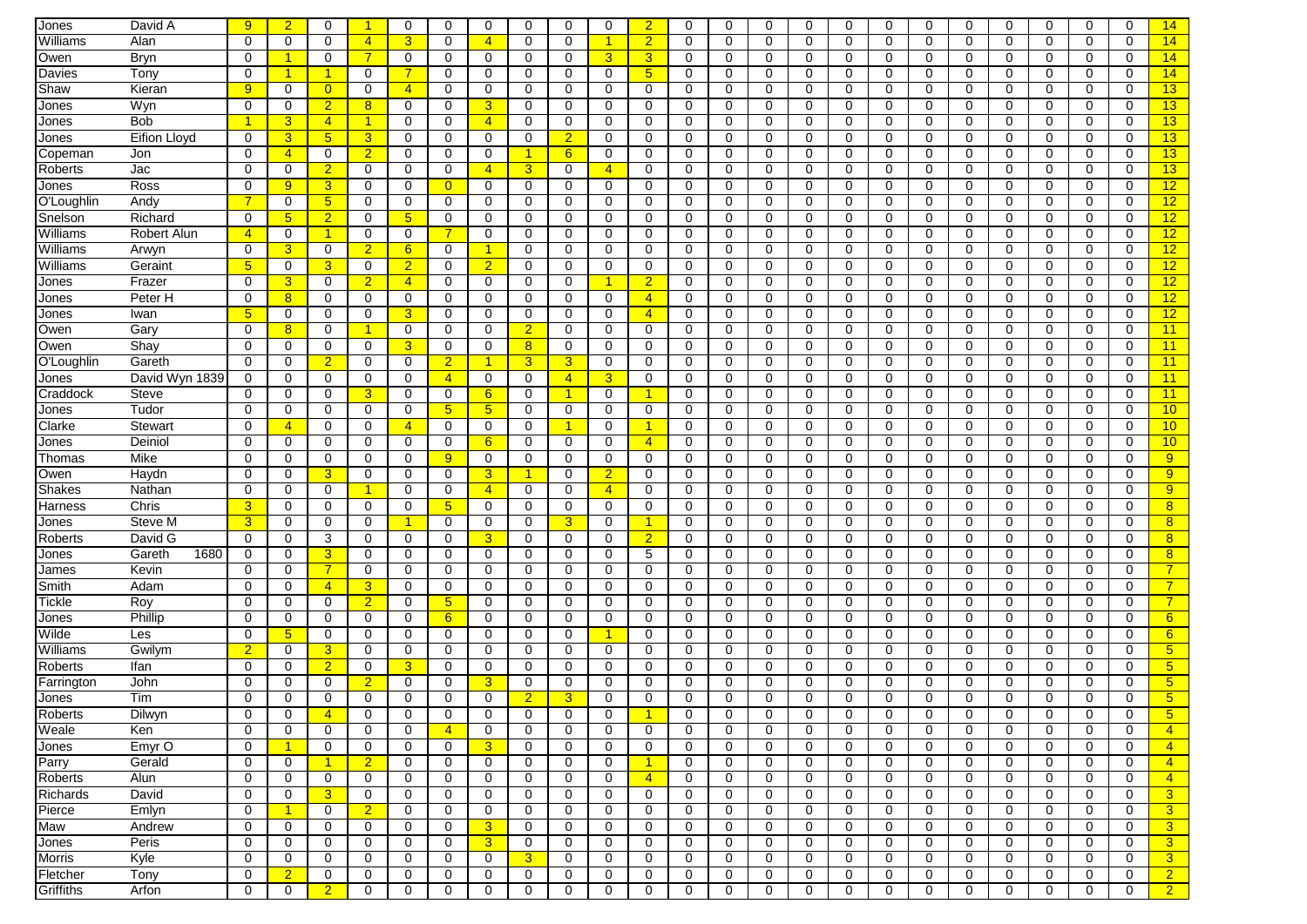| Jones         | David A        | 9              | 2 <sup>2</sup>       | $\mathbf 0$    | -1             | 0              | 0              | $\Omega$        | $\mathbf 0$    | $\Omega$             | $\mathbf 0$          | $\overline{2}$  | $\Omega$    | $\Omega$    | $\Omega$     | $\mathbf 0$ | $\mathbf 0$ | $\Omega$    | $\Omega$ | $\Omega$    | $\Omega$    | $\Omega$    | $\mathbf 0$ | $\Omega$     | 14              |
|---------------|----------------|----------------|----------------------|----------------|----------------|----------------|----------------|-----------------|----------------|----------------------|----------------------|-----------------|-------------|-------------|--------------|-------------|-------------|-------------|----------|-------------|-------------|-------------|-------------|--------------|-----------------|
| Williams      | Alan           | 0              | 0                    | 0              | $\overline{4}$ | $\overline{3}$ | 0              | $\overline{4}$  | $\Omega$       | $\Omega$             | $\mathbf{1}$         | $\overline{2}$  | $\Omega$    | $\Omega$    | $\Omega$     | $\Omega$    | $\mathbf 0$ | $\Omega$    | $\Omega$ | $\Omega$    | $\Omega$    | $\Omega$    | $\Omega$    | $\Omega$     | 14              |
|               | Bryn           | 0              | $\blacktriangleleft$ | 0              | $\overline{7}$ |                |                | 0               | 0              | 0                    | 3                    | 3               | 0           | 0           | $\mathbf 0$  | 0           | $\mathbf 0$ | 0           | 0        | $\mathbf 0$ | 0           | 0           | 0           | 0            | 14              |
| Owen          |                |                |                      |                |                | 0              | 0              |                 |                |                      |                      |                 |             |             |              |             |             |             |          |             |             |             |             |              |                 |
| Davies        | Tony           | 0              | -1                   | 1              | 0              | $\overline{7}$ | 0              | 0               | 0              | 0                    | 0                    | $5\phantom{.0}$ | 0           | 0           | $\mathbf 0$  | $\mathbf 0$ | 0           | 0           | 0        | $\mathbf 0$ | 0           | 0           | 0           | 0            | 14              |
| Shaw          | Kieran         | 9              | 0                    | $\overline{0}$ | 0              | $\overline{4}$ | 0              | 0               | $\mathbf 0$    | 0                    | $\mathbf 0$          | 0               | 0           | 0           | $\mathbf 0$  | $\mathbf 0$ | 0           | 0           | 0        | $\mathbf 0$ | $\mathbf 0$ | 0           | 0           | 0            | 13              |
| Jones         | Wyn            | $\mathbf 0$    | 0                    | $\overline{2}$ | 8              | 0              | 0              | 3               | 0              | 0                    | $\mathbf 0$          | 0               | $\mathbf 0$ | 0           | $\mathbf 0$  | $\mathbf 0$ | 0           | 0           | 0        | $\mathbf 0$ | $\mathbf 0$ | 0           | $\mathbf 0$ | 0            | 13              |
| Jones         | <b>Bob</b>     |                | $\overline{3}$       | $\overline{4}$ | -1             | 0              | 0              | $\overline{4}$  | 0              | 0                    | 0                    | $\Omega$        | $\mathbf 0$ | 0           | $\mathbf 0$  | 0           | 0           | 0           | 0        | $\mathbf 0$ | $\mathbf 0$ | 0           | $\mathbf 0$ | 0            | 13              |
| Jones         | Eifion Lloyd   | 0              | 3 <sup>5</sup>       | 5 <sub>5</sub> | 3              | 0              | 0              | 0               | 0              | $\overline{2}$       | 0                    | 0               | 0           | $\mathbf 0$ | $\mathbf 0$  | 0           | 0           | 0           | 0        | $\mathbf 0$ | 0           | 0           | 0           | 0            | 13              |
| Copeman       | Jon            | 0              | $\overline{4}$       | 0              | $\overline{2}$ | $\mathbf 0$    | $\Omega$       | 0               |                | 6                    | $\mathbf 0$          | 0               | 0           | $\Omega$    | $\mathbf 0$  | 0           | 0           | $\Omega$    | $\Omega$ | $\Omega$    | 0           | 0           | 0           | $\Omega$     | 13              |
| Roberts       | Jac            | 0              | $\mathbf 0$          | $\overline{2}$ | 0              | 0              | 0              | $\overline{4}$  | 3 <sup>5</sup> | 0                    | $\overline{4}$       | 0               | 0           | 0           | $\mathbf 0$  | 0           | 0           | 0           | 0        | $\mathbf 0$ | 0           | 0           | 0           | 0            | 13              |
| Jones         | Ross           | $\Omega$       | 9                    | 3              | 0              | $\mathbf 0$    | $\overline{0}$ | 0               | 0              | 0                    | 0                    | 0               | 0           | 0           | 0            | 0           | 0           | 0           | 0        | $\mathbf 0$ | 0           | 0           | 0           | 0            | 12              |
| O'Loughlin    | Andy           |                | 0                    | 5 <sup>5</sup> | 0              | $\mathbf 0$    | 0              | 0               | $\mathbf 0$    | $\mathbf 0$          | $\mathbf 0$          | 0               | 0           | 0           | $\mathbf 0$  | 0           | 0           | 0           | 0        | $\mathbf 0$ | $\mathbf 0$ | 0           | $\mathbf 0$ | 0            | 12              |
| Snelson       | Richard        | $\Omega$       | $5\overline{)}$      | $\overline{2}$ | $\mathbf 0$    | 5 <sup>5</sup> | 0              | 0               | $\mathbf 0$    | $\mathbf 0$          | 0                    | 0               | 0           | 0           | $\mathbf 0$  | $\mathbf 0$ | $\mathbf 0$ | $\Omega$    | 0        | $\mathbf 0$ | 0           | 0           | 0           | 0            | 12              |
| Williams      | Robert Alun    | $\overline{4}$ | $\mathbf 0$          | $\overline{1}$ | $\mathbf 0$    | 0              | $\overline{7}$ | 0               | $\mathbf 0$    | 0                    | $\mathbf 0$          | 0               | $\mathbf 0$ | 0           | $\mathbf 0$  | $\mathbf 0$ | 0           | $\mathbf 0$ | 0        | $\mathbf 0$ | $\mathbf 0$ | 0           | $\mathbf 0$ | 0            | 12              |
| Williams      | Arwyn          | 0              | $\mathbf{3}$         | 0              | $\overline{2}$ | 6              | 0              | 1               | 0              | 0                    | $\mathbf 0$          | 0               | 0           | 0           | 0            | $\mathbf 0$ | 0           | 0           | 0        | 0           | $\mathbf 0$ | 0           | 0           | 0            | 12              |
| Williams      | Geraint        | 5              | $\mathbf 0$          | 3              | $\mathbf 0$    | $\overline{2}$ | 0              | $\overline{2}$  | $\mathbf 0$    | $\mathbf 0$          | $\mathbf 0$          | 0               | $\mathbf 0$ | 0           | $\mathbf 0$  | $\mathbf 0$ | 0           | $\mathbf 0$ | 0        | $\mathbf 0$ | $\mathbf 0$ | $\mathbf 0$ | $\mathbf 0$ | $\mathbf 0$  | 12              |
| Jones         | Frazer         | $\Omega$       | 3 <sup>5</sup>       | 0              | $\overline{2}$ | $\overline{4}$ | 0              | 0               | 0              | 0                    | $\blacktriangleleft$ | 2               | $\Omega$    | 0           | $\mathbf 0$  | 0           | $\mathbf 0$ | $\Omega$    | 0        | $\mathbf 0$ | 0           | 0           | 0           | 0            | 12              |
| Jones         | Peter H        | $\Omega$       | 8 <sup>°</sup>       | 0              | 0              | 0              | 0              | 0               | 0              | 0                    | 0                    | $\overline{4}$  | 0           | 0           | 0            | 0           | 0           | 0           | 0        | 0           | 0           | 0           | 0           | 0            | 12              |
| Jones         | Iwan           | 5              | $\mathbf 0$          | 0              | 0              | 3 <sup>2</sup> | 0              | 0               | $\mathbf 0$    | 0                    | $\mathbf 0$          | $\overline{4}$  | 0           | $\mathbf 0$ | $\mathbf 0$  | $\mathbf 0$ | $\mathbf 0$ | $\Omega$    | 0        | $\mathbf 0$ | $\mathbf 0$ | 0           | 0           | 0            | 12              |
| Owen          | Gary           | $\Omega$       | 8                    | 0              | 1              | $\mathbf 0$    | 0              | $\Omega$        | $\overline{2}$ | 0                    | $\Omega$             | $\Omega$        | $\Omega$    | $\Omega$    | $\Omega$     | 0           | 0           | $\Omega$    | $\Omega$ | $\Omega$    | $\Omega$    | $\Omega$    | 0           | $\Omega$     | 11              |
| Owen          | Shay           | 0              | 0                    | $\mathbf 0$    | 0              | 3 <sup>2</sup> | 0              | 0               | 8              | 0                    | $\mathbf 0$          | 0               | 0           | 0           | $\mathbf 0$  | $\mathbf 0$ | 0           | 0           | 0        | $\mathbf 0$ | $\mathbf 0$ | 0           | $\mathbf 0$ | 0            | 11              |
| O'Loughlin    | Gareth         | $\Omega$       | 0                    | $\overline{2}$ | 0              | 0              | $\overline{2}$ | 1               | $\overline{3}$ | 3                    | 0                    | 0               | 0           | 0           | $\mathbf 0$  | $\mathbf 0$ | $\mathbf 0$ | 0           | 0        | $\mathbf 0$ | 0           | 0           | 0           | 0            | 11              |
|               | David Wyn 1839 | 0              | $\mathbf 0$          | $\mathbf 0$    | 0              | 0              | $\overline{4}$ | $\mathbf 0$     | $\mathbf 0$    | $\overline{4}$       | 3                    | $\Omega$        | 0           | 0           | $\mathbf 0$  | $\mathbf 0$ | 0           | $\mathbf 0$ | 0        | $\mathbf 0$ | $\mathbf 0$ | $\mathbf 0$ | $\mathbf 0$ | 0            | 11              |
| Jones         |                |                |                      |                |                |                |                |                 |                |                      |                      |                 |             |             |              |             |             |             |          |             |             |             |             |              |                 |
| Craddock      | <b>Steve</b>   | 0              | $\mathbf 0$          | 0              | 3              | 0              | 0              | $6\phantom{1}6$ | 0              | $\blacktriangleleft$ | $\mathbf 0$          |                 | $\mathbf 0$ | 0           | $\mathbf 0$  | $\mathbf 0$ | 0           | $\mathbf 0$ | 0        | $\mathbf 0$ | $\mathbf 0$ | $\mathbf 0$ | $\mathbf 0$ | $\mathbf 0$  | 11              |
| Jones         | Tudor          | $\Omega$       | 0                    | 0              | 0              | 0              | 5 <sub>5</sub> | 5               | 0              | 0                    | 0                    | 0               | 0           | 0           | $\mathbf 0$  | 0           | 0           | 0           | 0        | $\mathbf 0$ | 0           | 0           | 0           | $\Omega$     | 10              |
| Clarke        | Stewart        | 0              | $\overline{4}$       | 0              | 0              | $\overline{4}$ | 0              | 0               | $\mathbf{0}$   | 1                    | 0                    |                 | 0           | $\mathbf 0$ | $\mathbf 0$  | 0           | 0           | 0           | 0        | $\mathbf 0$ | 0           | 0           | 0           | 0            | 10              |
| Jones         | Deiniol        | $\Omega$       | $\Omega$             | 0              | $\Omega$       | $\mathbf 0$    | 0              | 6               | 0              | $\Omega$             | $\mathbf 0$          | $\overline{4}$  | $\Omega$    | $\Omega$    | $\Omega$     | 0           | $\mathbf 0$ | $\Omega$    | $\Omega$ | $\Omega$    | $\Omega$    | $\Omega$    | 0           | $\Omega$     | 10              |
| Thomas        | Mike           | 0              | $\Omega$             | 0              | 0              | $\mathbf 0$    | 9              | 0               | 0              | 0                    | 0                    | 0               | 0           | 0           | 0            | 0           | 0           | 0           | 0        | $\mathbf 0$ | 0           | 0           | 0           | 0            | 9               |
| Owen          | Haydn          | $\Omega$       | 0                    | 3              | 0              | $\mathbf 0$    | 0              | 3               | $\mathbf{1}$   | 0                    | $\overline{2}$       | 0               | 0           | 0           | 0            | 0           | $\mathbf 0$ | 0           | 0        | 0           | 0           | $\Omega$    | 0           | $\Omega$     | 9 <sup>°</sup>  |
| <b>Shakes</b> | Nathan         | 0              | 0                    | $\mathbf 0$    | -1             | $\mathbf 0$    | 0              | $\overline{4}$  | 0              | $\mathbf 0$          | $\overline{4}$       | 0               | 0           | $\mathbf 0$ | 0            | 0           | 0           | 0           | 0        | 0           | $\mathbf 0$ | 0           | 0           | 0            | 9               |
| Harness       | Chris          | 3              | 0                    | 0              | 0              | $\mathbf 0$    | $5^{\circ}$    | 0               | $\mathbf 0$    | 0                    | 0                    | 0               | 0           | 0           | 0            | $\mathbf 0$ | $\mathbf 0$ | 0           | 0        | 0           | 0           | 0           | 0           | 0            | 8 <sup>°</sup>  |
| Jones         | Steve M        | 3              | $\mathbf 0$          | 0              | 0              | $\mathbf{1}$   | 0              | 0               | 0              | 3                    | $\mathbf 0$          |                 | 0           | 0           | $\mathbf 0$  | 0           | 0           | 0           | 0        | $\mathbf 0$ | $\mathbf 0$ | $\mathbf 0$ | $\mathbf 0$ | 0            | 8               |
| Roberts       | David G        | $\mathbf 0$    | 0                    | 3              | $\mathbf 0$    | 0              | 0              | 3               | 0              | 0                    | $\mathbf 0$          | $\overline{2}$  | 0           | 0           | 0            | $\mathbf 0$ | 0           | 0           | 0        | 0           | $\mathbf 0$ | 0           | 0           | 0            | 8               |
| Jones         | 1680<br>Gareth | $\Omega$       | 0                    | 3              | 0              | $\mathbf 0$    | $\Omega$       | $\Omega$        | 0              | $\Omega$             | $\mathbf 0$          | 5               | $\Omega$    | 0           | 0            | 0           | 0           | $\Omega$    | $\Omega$ | 0           | $\mathbf 0$ | 0           | 0           | $\Omega$     | 8               |
| James         | Kevin          | $\Omega$       | 0                    | $\overline{7}$ | 0              | 0              | 0              | $\Omega$        | 0              | 0                    | 0                    | 0               | 0           | 0           | 0            | 0           | 0           | $\Omega$    | 0        | $\mathbf 0$ | 0           | 0           | 0           | 0            | $\overline{7}$  |
| Smith         | Adam           | 0              | 0                    | $\overline{4}$ | 3              | 0              | 0              | 0               | 0              | 0                    | 0                    | 0               | 0           | 0           | 0            | 0           | 0           | 0           | 0        | 0           | 0           | 0           | 0           | 0            | $\overline{7}$  |
| Tickle        | Roy            | 0              | 0                    | $\mathbf 0$    | $\overline{2}$ | $\mathbf 0$    | 5 <sup>5</sup> | 0               | 0              | 0                    | $\mathbf 0$          | 0               | 0           | $\mathbf 0$ | 0            | 0           | $\mathbf 0$ | $\Omega$    | 0        | $\mathbf 0$ | 0           | 0           | 0           | 0            | 7 <sup>1</sup>  |
| Jones         | Phillip        | $\Omega$       | $\mathbf 0$          | $\mathbf 0$    | $\mathbf 0$    | $\mathbf 0$    | 6              | 0               | $\mathbf 0$    | 0                    | $\mathbf 0$          | 0               | $\mathbf 0$ | $\mathbf 0$ | $\mathbf 0$  | $\mathbf 0$ | $\mathbf 0$ | $\Omega$    | 0        | $\mathbf 0$ | $\mathbf 0$ | $\mathbf 0$ | $\mathbf 0$ | $\mathbf 0$  | $6^{\circ}$     |
| Wilde         | Les            | 0              | 5 <sup>5</sup>       | 0              | 0              | 0              | 0              | 0               | 0              | 0                    | $\mathbf{1}$         | 0               | 0           | 0           | $\mathbf 0$  | $\mathbf 0$ | 0           | 0           | 0        | $\mathbf 0$ | $\mathbf 0$ | 0           | $\mathbf 0$ | 0            | 6               |
| Williams      | Gwilym         | $\overline{2}$ | 0                    | 3              | 0              | $\mathbf 0$    | 0              | 0               | 0              | 0                    | $\mathbf 0$          | 0               | 0           | 0           | 0            | 0           | 0           | 0           | 0        | 0           | 0           | 0           | 0           | 0            | 5 <sup>5</sup>  |
| Roberts       | Ifan           | 0              | $\mathbf 0$          | $\overline{2}$ | $\mathbf 0$    | $\overline{3}$ | 0              | 0               | 0              | 0                    | $\mathbf 0$          | $\Omega$        | $\mathbf 0$ | $\Omega$    | $\mathbf 0$  | 0           | 0           | 0           | $\Omega$ | $\mathbf 0$ | $\mathbf 0$ | $\mathbf 0$ | $\mathbf 0$ | 0            | 5 <sup>5</sup>  |
| Farrington    | John           | 0              | $\mathbf 0$          | 0              | $\overline{2}$ | 0              | 0              | 3               | 0              | 0                    | $\mathbf 0$          | 0               | $\mathbf 0$ | 0           | 0            | $\mathbf 0$ | 0           | 0           | 0        | $\mathbf 0$ | $\mathbf 0$ | $\mathbf 0$ | $\mathbf 0$ | 0            | 5 <sup>5</sup>  |
| <b>Jones</b>  | Tim            | $\Omega$       | $\Omega$             | 0              | $\Omega$       | 0              | 0              | $\Omega$        | $\overline{2}$ | 3                    | $\mathbf 0$          | $\Omega$        | $\Omega$    | $\Omega$    | 0            | 0           | $\Omega$    | 0           | $\Omega$ | 0           | $\Omega$    | $\Omega$    | 0           | $\Omega$     | 5 <sup>5</sup>  |
| Roberts       | Dilwyn         | U              | $\cup$               | $\overline{4}$ | U              | U              | U              | U               | U              | U                    | U                    |                 | U           | U           | $\cup$       | U           | U           | U           | O        | $\cup$      | U           | U           | U           | U            | $\sqrt{5}$      |
| Weale         | Ken            | $\mathbf 0$    | 0                    | 0              | 0              | $\mathbf 0$    | $\overline{4}$ | 0               | $\mathbf 0$    | $\mathbf 0$          | $\mathbf 0$          | $\mathbf 0$     | 0           | $\mathbf 0$ | $\mathbf 0$  | 0           | 0           | 0           | 0        | $\mathbf 0$ | $\mathbf 0$ | 0           | $\mathbf 0$ | 0            | $\vert 4 \vert$ |
|               |                | 0              | $\blacktriangleleft$ |                |                | 0              |                | $\overline{3}$  |                | 0                    |                      |                 | $\mathbf 0$ |             | $\mathbf{0}$ |             |             | 0           |          | $\mathbf 0$ | 0           |             |             | $\mathbf{0}$ | $\overline{4}$  |
| Jones         | Emyr O         |                |                      | 0              | 0              |                | 0              |                 | 0              |                      | 0                    | 0               |             | 0           |              | 0           | 0           |             | 0        |             |             | 0           | 0           |              |                 |
| Parry         | Gerald         | 0              | 0                    | $\mathbf{1}$   | $\overline{2}$ | 0              | 0              | 0               | 0              | 0                    | $\mathbf 0$          | -1              | $\mathbf 0$ | 0           | 0            | 0           | 0           | 0           | 0        | 0           | 0           | 0           | 0           | 0            | $\overline{4}$  |
| Roberts       | Alun           | 0              | 0                    | 0              | 0              | 0              | 0              | 0               | $\mathbf 0$    | $\mathbf 0$          | 0                    | $\overline{4}$  | 0           | 0           | $\mathbf{0}$ | 0           | 0           | 0           | 0        | 0           | $\mathbf 0$ | 0           | $\mathbf 0$ | 0            | $\overline{4}$  |
| Richards      | David          | $\mathbf 0$    | 0                    | 3              | 0              | 0              | 0              | $\mathbf 0$     | $\mathbf 0$    | $\mathbf 0$          | $\mathbf 0$          | $\mathbf 0$     | 0           | 0           | $\mathbf 0$  | 0           | 0           | $\mathbf 0$ | 0        | $\mathbf 0$ | $\mathbf 0$ | 0           | $\mathbf 0$ | 0            | 3 <sup>5</sup>  |
| Pierce        | Emlyn          | $\mathbf 0$    | $\blacktriangleleft$ | 0              | $\overline{2}$ | 0              | 0              | 0               | 0              | 0                    | 0                    | 0               | 0           | 0           | 0            | 0           | 0           | 0           | 0        | $\mathbf 0$ | $\mathbf 0$ | 0           | 0           | 0            | 3 <sup>5</sup>  |
| Maw           | Andrew         | 0              | 0                    | 0              | 0              | 0              | 0              | 3               | 0              | 0                    | 0                    | 0               | 0           | 0           | 0            | 0           | 0           | 0           | 0        | 0           | 0           | 0           | 0           | $\mathbf{0}$ | 3 <sup>5</sup>  |
| Jones         | Peris          | 0              | 0                    | 0              | 0              | 0              | 0              | $\mathbf{3}$    | 0              | 0                    | $\mathbf 0$          | 0               | 0           | 0           | $\mathbf 0$  | 0           | 0           | 0           | 0        | 0           | 0           | 0           | 0           | 0            | 3 <sup>°</sup>  |
| <b>Morris</b> | Kyle           | $\mathbf 0$    | 0                    | 0              | 0              | 0              | 0              | $\mathbf 0$     | 3 <sup>2</sup> | 0                    | 0                    | 0               | $\mathbf 0$ | 0           | $\mathbf 0$  | 0           | 0           | 0           | 0        | $\mathbf 0$ | $\mathbf 0$ | 0           | $\mathbf 0$ | 0            | 3 <sup>2</sup>  |
| Fletcher      | Tony           | 0              | $\overline{2}$       | 0              | 0              | 0              | 0              | 0               | 0              | 0                    | 0                    | 0               | 0           | 0           | 0            | 0           | 0           | 0           | 0        | 0           | 0           | 0           | 0           | 0            | 2 <sub>1</sub>  |
| Griffiths     | Arfon          | $\mathbf 0$    | 0                    | $\overline{2}$ | 0              | 0              | 0              | 0               | 0              | 0                    | 0                    | 0               | 0           | 0           | $\mathbf 0$  | 0           | 0           | 0           | 0        | $\mathbf 0$ | $\mathbf 0$ | 0           | $\mathbf 0$ | $\mathbf{0}$ | $\overline{2}$  |